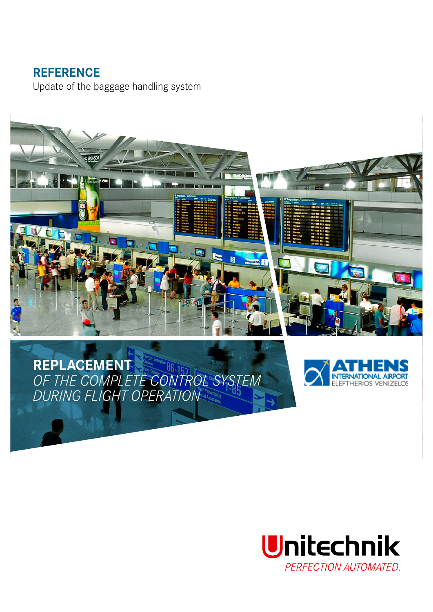## **REFERENCE**

Update of the baggage handling system



# **REPLACEMENT** *OF THE COMPLETE CONTROL SYSTEM DURING FLIGHT OPERATION*